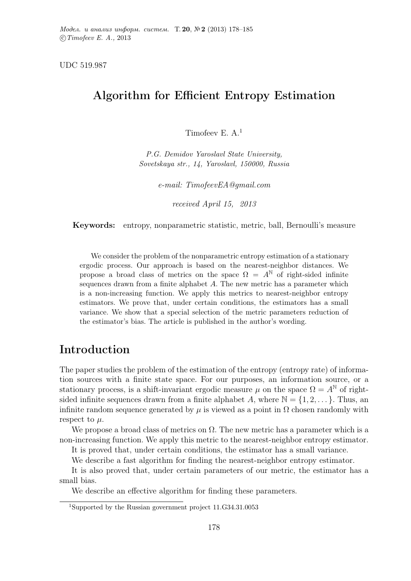UDC 519.987

## Algorithm for Efficient Entropy Estimation

Timofeev E. A.<sup>1</sup>

P.G. Demidov Yaroslavl State University, Sovetskaya str., 14, Yaroslavl, 150000, Russia

e-mail: TimofeevEA@gmail.com

received April 15, 2013

Keywords: entropy, nonparametric statistic, metric, ball, Bernoulli's measure

We consider the problem of the nonparametric entropy estimation of a stationary ergodic process. Our approach is based on the nearest-neighbor distances. We propose a broad class of metrics on the space  $\Omega = A^{\mathbb{N}}$  of right-sided infinite sequences drawn from a finite alphabet A. The new metric has a parameter which is a non-increasing function. We apply this metrics to nearest-neighbor entropy estimators. We prove that, under certain conditions, the estimators has a small variance. We show that a special selection of the metric parameters reduction of the estimator's bias. The article is published in the author's wording.

## Introduction

The paper studies the problem of the estimation of the entropy (entropy rate) of information sources with a finite state space. For our purposes, an information source, or a stationary process, is a shift-invariant ergodic measure  $\mu$  on the space  $\Omega = A^{\mathbb{N}}$  of rightsided infinite sequences drawn from a finite alphabet A, where  $\mathbb{N} = \{1, 2, \dots\}$ . Thus, an infinite random sequence generated by  $\mu$  is viewed as a point in  $\Omega$  chosen randomly with respect to  $\mu$ .

We propose a broad class of metrics on  $\Omega$ . The new metric has a parameter which is a non-increasing function. We apply this metric to the nearest-neighbor entropy estimator.

It is proved that, under certain conditions, the estimator has a small variance.

We describe a fast algorithm for finding the nearest-neighbor entropy estimator.

It is also proved that, under certain parameters of our metric, the estimator has a small bias.

We describe an effective algorithm for finding these parameters.

<sup>1</sup>Supported by the Russian government project 11.G34.31.0053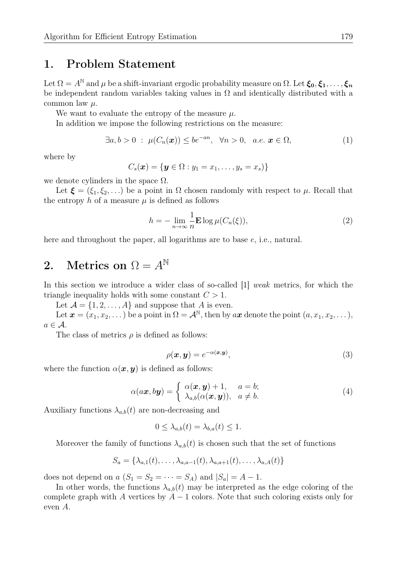### 1. Problem Statement

Let  $\Omega = A^{\mathbb{N}}$  and  $\mu$  be a shift-invariant ergodic probability measure on  $\Omega$ . Let  $\xi_0, \xi_1, \ldots, \xi_n$ be independent random variables taking values in  $\Omega$  and identically distributed with a common law  $\mu$ .

We want to evaluate the entropy of the measure  $\mu$ .

In addition we impose the following restrictions on the measure:

$$
\exists a, b > 0 \; : \; \mu(C_n(\boldsymbol{x})) \leq b e^{-an}, \; \; \forall n > 0, \; a.e. \; \boldsymbol{x} \in \Omega,
$$
\n(1)

where by

$$
C_s(\boldsymbol{x}) = \{ \boldsymbol{y} \in \Omega : y_1 = x_1, \ldots, y_s = x_s) \}
$$

we denote cylinders in the space  $\Omega$ .

Let  $\xi = (\xi_1, \xi_2, \ldots)$  be a point in  $\Omega$  chosen randomly with respect to  $\mu$ . Recall that the entropy h of a measure  $\mu$  is defined as follows

$$
h = -\lim_{n \to \infty} \frac{1}{n} \mathbf{E} \log \mu(C_n(\xi)), \tag{2}
$$

here and throughout the paper, all logarithms are to base e, i.e., natural.

# 2. Metrics on  $\Omega = A^{\mathbb{N}}$

In this section we introduce a wider class of so-called [1] weak metrics, for which the triangle inequality holds with some constant  $C > 1$ .

Let  $\mathcal{A} = \{1, 2, ..., A\}$  and suppose that A is even.

Let  $\boldsymbol{x} = (x_1, x_2, \dots)$  be a point in  $\Omega = \mathcal{A}^{\mathbb{N}}$ , then by  $a\boldsymbol{x}$  denote the point  $(a, x_1, x_2, \dots)$ ,  $a \in \mathcal{A}$ .

The class of metrics  $\rho$  is defined as follows:

$$
\rho(\boldsymbol{x}, \boldsymbol{y}) = e^{-\alpha(\boldsymbol{x}, \boldsymbol{y})},\tag{3}
$$

where the function  $\alpha(x, y)$  is defined as follows:

$$
\alpha(a\boldsymbol{x},b\boldsymbol{y}) = \begin{cases} \alpha(\boldsymbol{x},\boldsymbol{y}) + 1, & a = b; \\ \lambda_{a,b}(\alpha(\boldsymbol{x},\boldsymbol{y})), & a \neq b. \end{cases}
$$
 (4)

Auxiliary functions  $\lambda_{a,b}(t)$  are non-decreasing and

$$
0 \leq \lambda_{a,b}(t) = \lambda_{b,a}(t) \leq 1.
$$

Moreover the family of functions  $\lambda_{a,b}(t)$  is chosen such that the set of functions

$$
S_a = \{\lambda_{a,1}(t), \ldots, \lambda_{a,a-1}(t), \lambda_{a,a+1}(t), \ldots, \lambda_{a,A}(t)\}
$$

does not depend on a  $(S_1 = S_2 = \cdots = S_A)$  and  $|S_a| = A - 1$ .

In other words, the functions  $\lambda_{a,b}(t)$  may be interpreted as the edge coloring of the complete graph with A vertices by  $A - 1$  colors. Note that such coloring exists only for even A.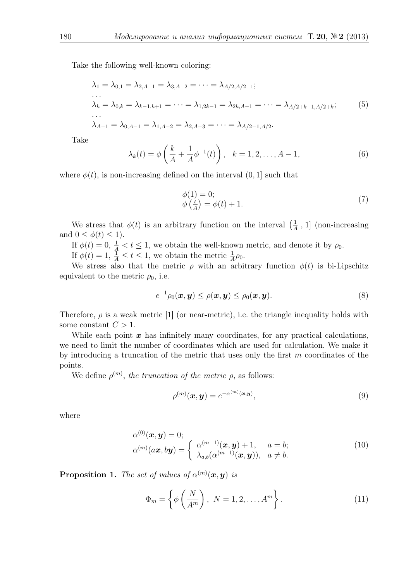Take the following well-known coloring:

$$
\lambda_1 = \lambda_{0,1} = \lambda_{2,A-1} = \lambda_{3,A-2} = \dots = \lambda_{A/2,A/2+1};
$$
  
\n...  
\n
$$
\lambda_k = \lambda_{0,k} = \lambda_{k-1,k+1} = \dots = \lambda_{1,2k-1} = \lambda_{2k,A-1} = \dots = \lambda_{A/2+k-1,A/2+k};
$$
  
\n...  
\n
$$
\lambda_{A-1} = \lambda_{0,A-1} = \lambda_{1,A-2} = \lambda_{2,A-3} = \dots = \lambda_{A/2-1,A/2}.
$$
  
\n(5)

Take

$$
\lambda_k(t) = \phi\left(\frac{k}{A} + \frac{1}{A}\phi^{-1}(t)\right), \quad k = 1, 2, \dots, A - 1,
$$
 (6)

where  $\phi(t)$ , is non-increasing defined on the interval  $(0, 1]$  such that

$$
\begin{aligned} \n\phi(1) &= 0; \\ \n\phi\left(\frac{t}{A}\right) &= \phi(t) + 1. \n\end{aligned} \tag{7}
$$

We stress that  $\phi(t)$  is an arbitrary function on the interval  $\left(\frac{1}{4}\right)$  $\frac{1}{A}$ , 1] (non-increasing and  $0 \leq \phi(t) \leq 1$ .

If  $\phi(t) = 0, \frac{1}{A} < t \leq 1$ , we obtain the well-known metric, and denote it by  $\rho_0$ .

If  $\phi(t) = 1, \frac{1}{A} \le t \le 1$ , we obtain the metric  $\frac{1}{A}\rho_0$ .

We stress also that the metric  $\rho$  with an arbitrary function  $\phi(t)$  is bi-Lipschitz equivalent to the metric  $\rho_0$ , i.e.

$$
e^{-1}\rho_0(\boldsymbol{x},\boldsymbol{y}) \leq \rho(\boldsymbol{x},\boldsymbol{y}) \leq \rho_0(\boldsymbol{x},\boldsymbol{y}). \tag{8}
$$

Therefore,  $\rho$  is a weak metric [1] (or near-metric), i.e. the triangle inequality holds with some constant  $C > 1$ .

While each point  $x$  has infinitely many coordinates, for any practical calculations, we need to limit the number of coordinates which are used for calculation. We make it by introducing a truncation of the metric that uses only the first  $m$  coordinates of the points.

We define  $\rho^{(m)}$ , the truncation of the metric  $\rho$ , as follows:

$$
\rho^{(m)}(\boldsymbol{x}, \boldsymbol{y}) = e^{-\alpha^{(m)}(\boldsymbol{x}, \boldsymbol{y})},\tag{9}
$$

where

$$
\alpha^{(0)}(\boldsymbol{x}, \boldsymbol{y}) = 0; \n\alpha^{(m)}(a\boldsymbol{x}, b\boldsymbol{y}) = \begin{cases}\n\alpha^{(m-1)}(\boldsymbol{x}, \boldsymbol{y}) + 1, & a = b; \\
\lambda_{a,b}(\alpha^{(m-1)}(\boldsymbol{x}, \boldsymbol{y})), & a \neq b.\n\end{cases}
$$
\n(10)

**Proposition 1.** The set of values of  $\alpha^{(m)}(\boldsymbol{x}, \boldsymbol{y})$  is

$$
\Phi_m = \left\{ \phi \left( \frac{N}{A^m} \right), \ N = 1, 2, \dots, A^m \right\}.
$$
 (11)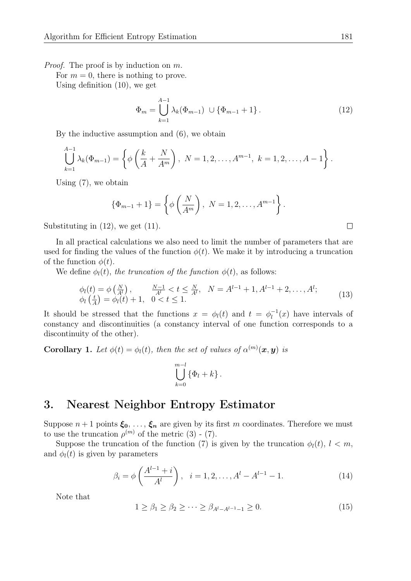Proof. The proof is by induction on m.

For  $m = 0$ , there is nothing to prove.

Using definition (10), we get

$$
\Phi_m = \bigcup_{k=1}^{A-1} \lambda_k(\Phi_{m-1}) \cup \{\Phi_{m-1} + 1\}.
$$
\n(12)

By the inductive assumption and (6), we obtain

$$
\bigcup_{k=1}^{A-1} \lambda_k(\Phi_{m-1}) = \left\{ \phi\left(\frac{k}{A} + \frac{N}{A^m}\right), \ N = 1, 2, \dots, A^{m-1}, \ k = 1, 2, \dots, A-1 \right\}.
$$

Using (7), we obtain

$$
\{\Phi_{m-1} + 1\} = \left\{\phi\left(\frac{N}{A^m}\right), \ N = 1, 2, \dots, A^{m-1}\right\}.
$$

Substituting in  $(12)$ , we get  $(11)$ .

In all practical calculations we also need to limit the number of parameters that are used for finding the values of the function  $\phi(t)$ . We make it by introducing a truncation of the function  $\phi(t)$ .

We define  $\phi_l(t)$ , the truncation of the function  $\phi(t)$ , as follows:

$$
\begin{array}{ll}\n\phi_l(t) = \phi\left(\frac{N}{A^l}\right), & \frac{N-1}{A^l} < t \leq \frac{N}{A^l}, & N = A^{l-1} + 1, A^{l-1} + 2, \dots, A^l; \\
\phi_l\left(\frac{t}{A}\right) = \phi_l(t) + 1, & 0 < t \leq 1.\n\end{array} \tag{13}
$$

It should be stressed that the functions  $x = \phi_l(t)$  and  $t = \phi_l^{-1}$  $\overline{u}_l^{-1}(x)$  have intervals of constancy and discontinuities (a constancy interval of one function corresponds to a discontinuity of the other).

**Corollary 1.** Let  $\phi(t) = \phi_l(t)$ , then the set of values of  $\alpha^{(m)}(x, y)$  is

$$
\bigcup_{k=0}^{m-l} \{\Phi_l + k\}.
$$

#### 3. Nearest Neighbor Entropy Estimator

Suppose  $n+1$  points  $\xi_0, \ldots, \xi_n$  are given by its first m coordinates. Therefore we must to use the truncation  $\rho^{(m)}$  of the metric (3) - (7).

Suppose the truncation of the function (7) is given by the truncation  $\phi_l(t)$ ,  $l < m$ , and  $\phi_l(t)$  is given by parameters

$$
\beta_i = \phi\left(\frac{A^{l-1} + i}{A^l}\right), \quad i = 1, 2, \dots, A^l - A^{l-1} - 1. \tag{14}
$$

Note that

$$
1 \ge \beta_1 \ge \beta_2 \ge \cdots \ge \beta_{A^l - A^{l-1} - 1} \ge 0. \tag{15}
$$

 $\Box$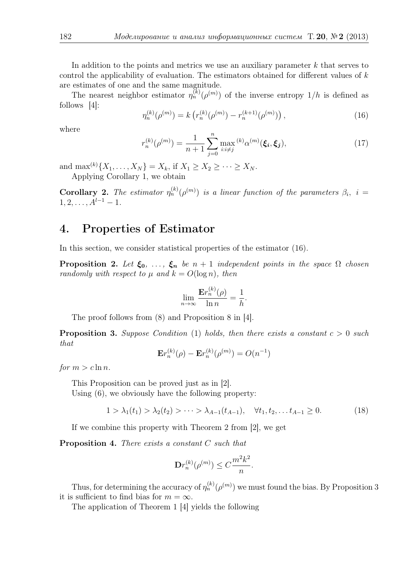In addition to the points and metrics we use an auxiliary parameter  $k$  that serves to control the applicability of evaluation. The estimators obtained for different values of k are estimates of one and the same magnitude.

The nearest neighbor estimator  $\eta_n^{(k)}(\rho^{(m)})$  of the inverse entropy  $1/h$  is defined as follows [4]:

$$
\eta_n^{(k)}(\rho^{(m)}) = k\left(r_n^{(k)}(\rho^{(m)}) - r_n^{(k+1)}(\rho^{(m)})\right),\tag{16}
$$

where

$$
r_n^{(k)}(\rho^{(m)}) = \frac{1}{n+1} \sum_{j=0}^n \max_{i:i \neq j} {}^{(k)}\alpha^{(m)}(\xi_i, \xi_j), \tag{17}
$$

and max<sup>(k)</sup>{ $X_1, ..., X_N$ } =  $X_k$ , if  $X_1 \ge X_2 \ge ... \ge X_N$ . Applying Corollary 1, we obtain

**Corollary 2.** The estimator  $\eta_n^{(k)}(\rho^{(m)})$  is a linear function of the parameters  $\beta_i$ , i =  $1, 2, \ldots, A^{l-1} - 1.$ 

### 4. Properties of Estimator

In this section, we consider statistical properties of the estimator (16).

**Proposition 2.** Let  $\xi_0$ , ...,  $\xi_n$  be  $n+1$  independent points in the space  $\Omega$  chosen randomly with respect to  $\mu$  and  $k = O(\log n)$ , then

$$
\lim_{n \to \infty} \frac{\mathbf{E}r_n^{(k)}(\rho)}{\ln n} = \frac{1}{h}.
$$

The proof follows from (8) and Proposition 8 in [4].

**Proposition 3.** Suppose Condition (1) holds, then there exists a constant  $c > 0$  such that

$$
\mathbf{E}r_n^{(k)}(\rho) - \mathbf{E}r_n^{(k)}(\rho^{(m)}) = O(n^{-1})
$$

for  $m > c \ln n$ .

This Proposition can be proved just as in [2]. Using (6), we obviously have the following property:

$$
1 > \lambda_1(t_1) > \lambda_2(t_2) > \cdots > \lambda_{A-1}(t_{A-1}), \quad \forall t_1, t_2, \dots t_{A-1} \ge 0.
$$
 (18)

If we combine this property with Theorem 2 from [2], we get

Proposition 4. There exists a constant C such that

$$
\mathbf{D}r_n^{(k)}(\rho^{(m)}) \le C\frac{m^2k^2}{n}.
$$

Thus, for determining the accuracy of  $\eta_n^{(k)}(\rho^{(m)})$  we must found the bias. By Proposition 3 it is sufficient to find bias for  $m = \infty$ .

The application of Theorem 1 [4] yields the following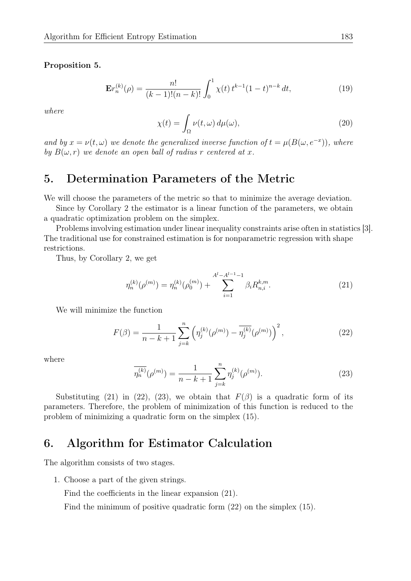#### Proposition 5.

$$
\mathbf{E}r_n^{(k)}(\rho) = \frac{n!}{(k-1)!(n-k)!} \int_0^1 \chi(t) \, t^{k-1} (1-t)^{n-k} \, dt,\tag{19}
$$

where

$$
\chi(t) = \int_{\Omega} \nu(t,\omega) \, d\mu(\omega),\tag{20}
$$

and by  $x = \nu(t, \omega)$  we denote the generalized inverse function of  $t = \mu(B(\omega, e^{-x}))$ , where by  $B(\omega, r)$  we denote an open ball of radius r centered at x.

## 5. Determination Parameters of the Metric

We will choose the parameters of the metric so that to minimize the average deviation.

Since by Corollary 2 the estimator is a linear function of the parameters, we obtain a quadratic optimization problem on the simplex.

Problems involving estimation under linear inequality constraints arise often in statistics [3]. The traditional use for constrained estimation is for nonparametric regression with shape restrictions.

Thus, by Corollary 2, we get

$$
\eta_n^{(k)}(\rho^{(m)}) = \eta_n^{(k)}(\rho_0^{(m)}) + \sum_{i=1}^{A^l - A^{l-1} - 1} \beta_i R_{n,i}^{k,m}.
$$
\n(21)

We will minimize the function

$$
F(\beta) = \frac{1}{n - k + 1} \sum_{j=k}^{n} \left( \eta_j^{(k)}(\rho^{(m)}) - \overline{\eta_j^{(k)}}(\rho^{(m)}) \right)^2, \tag{22}
$$

where

$$
\overline{\eta_n^{(k)}}(\rho^{(m)}) = \frac{1}{n-k+1} \sum_{j=k}^n \eta_j^{(k)}(\rho^{(m)}).
$$
\n(23)

Substituting (21) in (22), (23), we obtain that  $F(\beta)$  is a quadratic form of its parameters. Therefore, the problem of minimization of this function is reduced to the problem of minimizing a quadratic form on the simplex (15).

## 6. Algorithm for Estimator Calculation

The algorithm consists of two stages.

1. Choose a part of the given strings.

Find the coefficients in the linear expansion (21).

Find the minimum of positive quadratic form (22) on the simplex (15).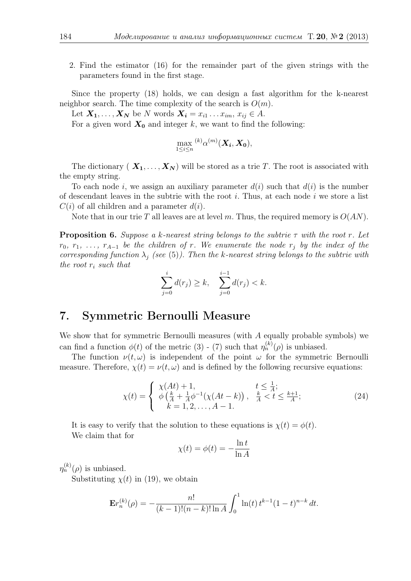2. Find the estimator (16) for the remainder part of the given strings with the parameters found in the first stage.

Since the property (18) holds, we can design a fast algorithm for the k-nearest neighbor search. The time complexity of the search is  $O(m)$ .

Let  $X_1, \ldots, X_N$  be N words  $X_i = x_{i1} \ldots x_{im}, x_{ij} \in A$ .

For a given word  $X_0$  and integer k, we want to find the following:

$$
\max_{1 \leq i \leq n} {}^{(k)}\alpha^{(m)}(\boldsymbol{X_i}, \boldsymbol{X_0}),
$$

The dictionary  $(X_1, \ldots, X_N)$  will be stored as a trie T. The root is associated with the empty string.

To each node i, we assign an auxiliary parameter  $d(i)$  such that  $d(i)$  is the number of descendant leaves in the subtrie with the root  $i$ . Thus, at each node  $i$  we store a list  $C(i)$  of all children and a parameter  $d(i)$ .

Note that in our trie T all leaves are at level m. Thus, the required memory is  $O(AN)$ .

**Proposition 6.** Suppose a k-nearest string belongs to the subtrie  $\tau$  with the root r. Let  $r_0, r_1, \ldots, r_{A-1}$  be the children of r. We enumerate the node  $r_i$  by the index of the corresponding function  $\lambda_i$  (see (5)). Then the k-nearest string belongs to the subtrie with the root  $r_i$  such that

$$
\sum_{j=0}^{i} d(r_j) \ge k, \quad \sum_{j=0}^{i-1} d(r_j) < k.
$$

## 7. Symmetric Bernoulli Measure

We show that for symmetric Bernoulli measures (with A equally probable symbols) we can find a function  $\phi(t)$  of the metric (3) - (7) such that  $\eta_n^{(k)}(\rho)$  is unbiased.

The function  $\nu(t,\omega)$  is independent of the point  $\omega$  for the symmetric Bernoulli measure. Therefore,  $\chi(t) = \nu(t, \omega)$  and is defined by the following recursive equations:

$$
\chi(t) = \begin{cases} \chi(At) + 1, & t \leq \frac{1}{A};\\ \phi\left(\frac{k}{A} + \frac{1}{A}\phi^{-1}(\chi(At - k))\right), & \frac{k}{A} < t \leq \frac{k+1}{A};\\ k = 1, 2, \dots, A - 1. \end{cases}
$$
(24)

It is easy to verify that the solution to these equations is  $\chi(t) = \phi(t)$ . We claim that for

$$
\chi(t) = \phi(t) = -\frac{\ln t}{\ln A}
$$

 $\eta_n^{(k)}(\rho)$  is unbiased.

Substituting  $\chi(t)$  in (19), we obtain

$$
\mathbf{E}r_n^{(k)}(\rho) = -\frac{n!}{(k-1)!(n-k)!\ln A} \int_0^1 \ln(t) \, t^{k-1} (1-t)^{n-k} \, dt.
$$